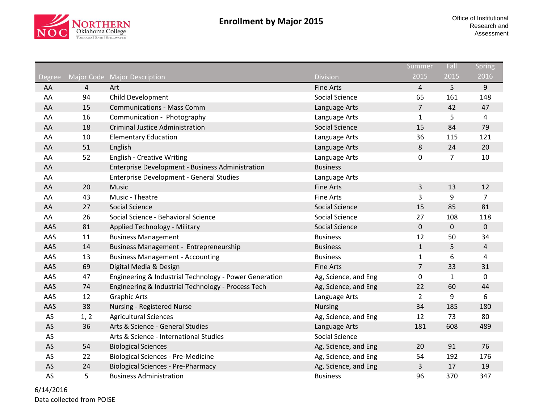

|               |                |                                                        |                       | Summer         | Fall           | Spring         |
|---------------|----------------|--------------------------------------------------------|-----------------------|----------------|----------------|----------------|
| <b>Degree</b> |                | Major Code Major Description                           | <b>Division</b>       | 2015           | 2015           | 2016           |
| AA            | $\overline{4}$ | Art                                                    | <b>Fine Arts</b>      | 4              | 5 <sup>1</sup> | 9              |
| AA            | 94             | Child Development                                      | Social Science        | 65             | 161            | 148            |
| AA            | 15             | <b>Communications - Mass Comm</b>                      | Language Arts         | $\overline{7}$ | 42             | 47             |
| AA            | 16             | Communication - Photography                            | Language Arts         | $\mathbf{1}$   | 5              | 4              |
| AA            | 18             | <b>Criminal Justice Administration</b>                 | <b>Social Science</b> | 15             | 84             | 79             |
| AA            | 10             | <b>Elementary Education</b>                            | Language Arts         | 36             | 115            | 121            |
| AA            | 51             | English                                                | Language Arts         | $\,8\,$        | 24             | 20             |
| AA            | 52             | <b>English - Creative Writing</b>                      | Language Arts         | $\mathbf 0$    | $\overline{7}$ | 10             |
| AA            |                | Enterprise Development - Business Administration       | <b>Business</b>       |                |                |                |
| AA            |                | <b>Enterprise Development - General Studies</b>        | Language Arts         |                |                |                |
| AA            | 20             | Music                                                  | <b>Fine Arts</b>      | 3              | 13             | 12             |
| AA            | 43             | Music - Theatre                                        | <b>Fine Arts</b>      | 3              | 9              | $\overline{7}$ |
| AA            | 27             | <b>Social Science</b>                                  | <b>Social Science</b> | 15             | 85             | 81             |
| AA            | 26             | Social Science - Behavioral Science                    | Social Science        | 27             | 108            | 118            |
| AAS           | 81             | Applied Technology - Military                          | <b>Social Science</b> | $\pmb{0}$      | $\mathbf 0$    | 0              |
| AAS           | 11             | <b>Business Management</b>                             | <b>Business</b>       | 12             | 50             | 34             |
| AAS           | 14             | Business Management - Entrepreneurship                 | <b>Business</b>       | $\mathbf{1}$   | 5              | $\overline{4}$ |
| AAS           | 13             | <b>Business Management - Accounting</b>                | <b>Business</b>       | 1              | 6              | 4              |
| AAS           | 69             | Digital Media & Design                                 | <b>Fine Arts</b>      | $\overline{7}$ | 33             | 31             |
| AAS           | 47             | Engineering & Industrial Technology - Power Generation | Ag, Science, and Eng  | $\pmb{0}$      | $\mathbf{1}$   | 0              |
| AAS           | 74             | Engineering & Industrial Technology - Process Tech     | Ag, Science, and Eng  | 22             | 60             | 44             |
| AAS           | 12             | <b>Graphic Arts</b>                                    | Language Arts         | $\overline{2}$ | 9              | 6              |
| AAS           | 38             | <b>Nursing - Registered Nurse</b>                      | <b>Nursing</b>        | 34             | 185            | 180            |
| AS            | 1, 2           | <b>Agricultural Sciences</b>                           | Ag, Science, and Eng  | 12             | 73             | 80             |
| AS            | 36             | Arts & Science - General Studies                       | Language Arts         | 181            | 608            | 489            |
| AS            |                | Arts & Science - International Studies                 | Social Science        |                |                |                |
| AS            | 54             | <b>Biological Sciences</b>                             | Ag, Science, and Eng  | 20             | 91             | 76             |
| AS            | 22             | <b>Biological Sciences - Pre-Medicine</b>              | Ag, Science, and Eng  | 54             | 192            | 176            |
| AS            | 24             | <b>Biological Sciences - Pre-Pharmacy</b>              | Ag, Science, and Eng  | 3              | 17             | 19             |
| AS            | 5              | <b>Business Administration</b>                         | <b>Business</b>       | 96             | 370            | 347            |